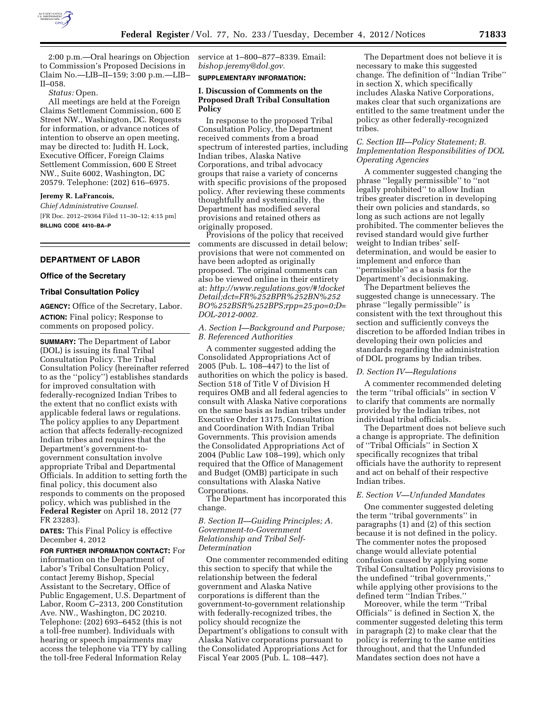

2:00 p.m.—Oral hearings on Objection to Commission's Proposed Decisions in Claim No.—LIB–II–159; 3:00 p.m.—LIB– II–058.

### *Status:* Open.

All meetings are held at the Foreign Claims Settlement Commission, 600 E Street NW., Washington, DC. Requests for information, or advance notices of intention to observe an open meeting, may be directed to: Judith H. Lock, Executive Officer, Foreign Claims Settlement Commission, 600 E Street NW., Suite 6002, Washington, DC 20579. Telephone: (202) 616–6975.

## **Jeremy R. LaFrancois,**

*Chief Administrative Counsel.*  [FR Doc. 2012–29364 Filed 11–30–12; 4:15 pm] **BILLING CODE 4410–BA–P** 

### **DEPARTMENT OF LABOR**

#### **Office of the Secretary**

### **Tribal Consultation Policy**

**AGENCY:** Office of the Secretary, Labor. **ACTION:** Final policy; Response to comments on proposed policy.

**SUMMARY:** The Department of Labor (DOL) is issuing its final Tribal Consultation Policy. The Tribal Consultation Policy (hereinafter referred to as the ''policy'') establishes standards for improved consultation with federally-recognized Indian Tribes to the extent that no conflict exists with applicable federal laws or regulations. The policy applies to any Department action that affects federally-recognized Indian tribes and requires that the Department's government-togovernment consultation involve appropriate Tribal and Departmental Officials. In addition to setting forth the final policy, this document also responds to comments on the proposed policy, which was published in the **Federal Register** on April 18, 2012 (77 FR 23283).

**DATES:** This Final Policy is effective December 4, 2012

**FOR FURTHER INFORMATION CONTACT:** For information on the Department of Labor's Tribal Consultation Policy, contact Jeremy Bishop, Special Assistant to the Secretary, Office of Public Engagement, U.S. Department of Labor, Room C–2313, 200 Constitution Ave. NW., Washington, DC 20210. Telephone: (202) 693–6452 (this is not a toll-free number). Individuals with hearing or speech impairments may access the telephone via TTY by calling the toll-free Federal Information Relay

service at 1–800–877–8339. Email: *[bishop.jeremy@dol.gov.](mailto:bishop.jeremy@dol.gov)* 

# **SUPPLEMENTARY INFORMATION:**

### **I. Discussion of Comments on the Proposed Draft Tribal Consultation Policy**

In response to the proposed Tribal Consultation Policy, the Department received comments from a broad spectrum of interested parties, including Indian tribes, Alaska Native Corporations, and tribal advocacy groups that raise a variety of concerns with specific provisions of the proposed policy. After reviewing these comments thoughtfully and systemically, the Department has modified several provisions and retained others as originally proposed.

Provisions of the policy that received comments are discussed in detail below; provisions that were not commented on have been adopted as originally proposed. The original comments can also be viewed online in their entirety at: *[http://www.regulations.gov/#!docket](http://www.regulations.gov/#!docketDetail) [Detail;](http://www.regulations.gov/#!docketDetail)dct=FR%252BPR%252BN%252 BO%252BSR%252BPS;rpp=25;po=0;D= DOL-2012-0002.* 

### *A. Section I—Background and Purpose; B. Referenced Authorities*

A commenter suggested adding the Consolidated Appropriations Act of 2005 (Pub. L. 108–447) to the list of authorities on which the policy is based. Section 518 of Title V of Division H requires OMB and all federal agencies to consult with Alaska Native corporations on the same basis as Indian tribes under Executive Order 13175, Consultation and Coordination With Indian Tribal Governments. This provision amends the Consolidated Appropriations Act of 2004 (Public Law 108–199), which only required that the Office of Management and Budget (OMB) participate in such consultations with Alaska Native Corporations.

The Department has incorporated this change.

# *B. Section II—Guiding Principles; A. Government-to-Government Relationship and Tribal Self-Determination*

One commenter recommended editing this section to specify that while the relationship between the federal government and Alaska Native corporations is different than the government-to-government relationship with federally-recognized tribes, the policy should recognize the Department's obligations to consult with Alaska Native corporations pursuant to the Consolidated Appropriations Act for Fiscal Year 2005 (Pub. L. 108–447).

The Department does not believe it is necessary to make this suggested change. The definition of ''Indian Tribe'' in section X, which specifically includes Alaska Native Corporations, makes clear that such organizations are entitled to the same treatment under the policy as other federally-recognized tribes.

# *C. Section III—Policy Statement; B. Implementation Responsibilities of DOL Operating Agencies*

A commenter suggested changing the phrase ''legally permissible'' to ''not legally prohibited'' to allow Indian tribes greater discretion in developing their own policies and standards, so long as such actions are not legally prohibited. The commenter believes the revised standard would give further weight to Indian tribes' selfdetermination, and would be easier to implement and enforce than ''permissible'' as a basis for the Department's decisionmaking.

The Department believes the suggested change is unnecessary. The phrase ''legally permissible'' is consistent with the text throughout this section and sufficiently conveys the discretion to be afforded Indian tribes in developing their own policies and standards regarding the administration of DOL programs by Indian tribes.

#### *D. Section IV—Regulations*

A commenter recommended deleting the term ''tribal officials'' in section V to clarify that comments are normally provided by the Indian tribes, not individual tribal officials.

The Department does not believe such a change is appropriate. The definition of ''Tribal Officials'' in Section X specifically recognizes that tribal officials have the authority to represent and act on behalf of their respective Indian tribes.

# *E. Section V—Unfunded Mandates*

One commenter suggested deleting the term ''tribal governments'' in paragraphs (1) and (2) of this section because it is not defined in the policy. The commenter notes the proposed change would alleviate potential confusion caused by applying some Tribal Consultation Policy provisions to the undefined ''tribal governments,'' while applying other provisions to the defined term ''Indian Tribes.''

Moreover, while the term ''Tribal Officials'' is defined in Section X, the commenter suggested deleting this term in paragraph (2) to make clear that the policy is referring to the same entities throughout, and that the Unfunded Mandates section does not have a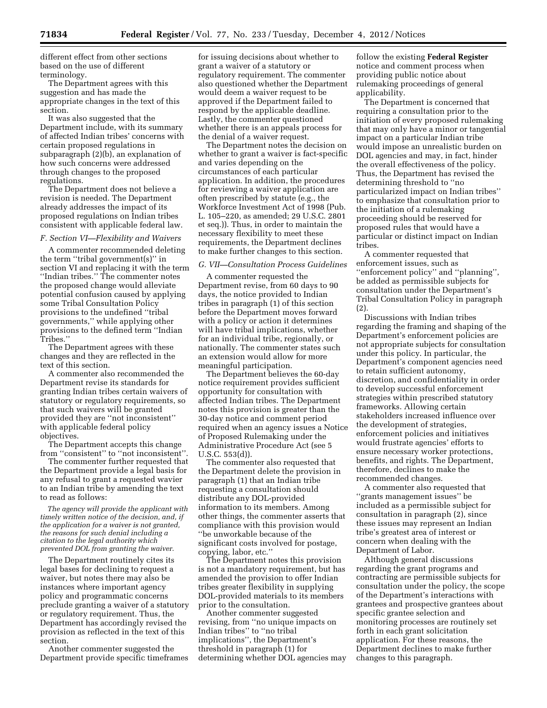different effect from other sections based on the use of different terminology.

The Department agrees with this suggestion and has made the appropriate changes in the text of this section.

It was also suggested that the Department include, with its summary of affected Indian tribes' concerns with certain proposed regulations in subparagraph (2)(b), an explanation of how such concerns were addressed through changes to the proposed regulations.

The Department does not believe a revision is needed. The Department already addresses the impact of its proposed regulations on Indian tribes consistent with applicable federal law.

### *F. Section VI—Flexibility and Waivers*

A commenter recommended deleting the term ''tribal government(s)'' in section VI and replacing it with the term ''Indian tribes.'' The commenter notes the proposed change would alleviate potential confusion caused by applying some Tribal Consultation Policy provisions to the undefined ''tribal governments,'' while applying other provisions to the defined term ''Indian Tribes.''

The Department agrees with these changes and they are reflected in the text of this section.

A commenter also recommended the Department revise its standards for granting Indian tribes certain waivers of statutory or regulatory requirements, so that such waivers will be granted provided they are ''not inconsistent'' with applicable federal policy objectives.

The Department accepts this change from ''consistent'' to ''not inconsistent''.

The commenter further requested that the Department provide a legal basis for any refusal to grant a requested wavier to an Indian tribe by amending the text to read as follows:

*The agency will provide the applicant with timely written notice of the decision, and, if the application for a waiver is not granted, the reasons for such denial including a citation to the legal authority which prevented DOL from granting the waiver*.

The Department routinely cites its legal bases for declining to request a waiver, but notes there may also be instances where important agency policy and programmatic concerns preclude granting a waiver of a statutory or regulatory requirement. Thus, the Department has accordingly revised the provision as reflected in the text of this section.

Another commenter suggested the Department provide specific timeframes for issuing decisions about whether to grant a waiver of a statutory or regulatory requirement. The commenter also questioned whether the Department would deem a waiver request to be approved if the Department failed to respond by the applicable deadline. Lastly, the commenter questioned whether there is an appeals process for the denial of a waiver request.

The Department notes the decision on whether to grant a waiver is fact-specific and varies depending on the circumstances of each particular application. In addition, the procedures for reviewing a waiver application are often prescribed by statute (e.g., the Workforce Investment Act of 1998 (Pub. L. 105–220, as amended; 29 U.S.C. 2801 et seq.)). Thus, in order to maintain the necessary flexibility to meet these requirements, the Department declines to make further changes to this section.

# *G. VII—Consultation Process Guidelines*

A commenter requested the Department revise, from 60 days to 90 days, the notice provided to Indian tribes in paragraph (1) of this section before the Department moves forward with a policy or action it determines will have tribal implications, whether for an individual tribe, regionally, or nationally. The commenter states such an extension would allow for more meaningful participation.

The Department believes the 60-day notice requirement provides sufficient opportunity for consultation with affected Indian tribes. The Department notes this provision is greater than the 30-day notice and comment period required when an agency issues a Notice of Proposed Rulemaking under the Administrative Procedure Act (see 5 U.S.C. 553(d)).

The commenter also requested that the Department delete the provision in paragraph (1) that an Indian tribe requesting a consultation should distribute any DOL-provided information to its members. Among other things, the commenter asserts that compliance with this provision would ''be unworkable because of the significant costs involved for postage, copying, labor, etc.''

The Department notes this provision is not a mandatory requirement, but has amended the provision to offer Indian tribes greater flexibility in supplying DOL-provided materials to its members prior to the consultation.

Another commenter suggested revising, from ''no unique impacts on Indian tribes'' to ''no tribal implications'', the Department's threshold in paragraph (1) for determining whether DOL agencies may

follow the existing **Federal Register**  notice and comment process when providing public notice about rulemaking proceedings of general applicability.

The Department is concerned that requiring a consultation prior to the initiation of every proposed rulemaking that may only have a minor or tangential impact on a particular Indian tribe would impose an unrealistic burden on DOL agencies and may, in fact, hinder the overall effectiveness of the policy. Thus, the Department has revised the determining threshold to ''no particularized impact on Indian tribes'' to emphasize that consultation prior to the initiation of a rulemaking proceeding should be reserved for proposed rules that would have a particular or distinct impact on Indian tribes.

A commenter requested that enforcement issues, such as ''enforcement policy'' and ''planning'', be added as permissible subjects for consultation under the Department's Tribal Consultation Policy in paragraph (2).

Discussions with Indian tribes regarding the framing and shaping of the Department's enforcement policies are not appropriate subjects for consultation under this policy. In particular, the Department's component agencies need to retain sufficient autonomy, discretion, and confidentiality in order to develop successful enforcement strategies within prescribed statutory frameworks. Allowing certain stakeholders increased influence over the development of strategies, enforcement policies and initiatives would frustrate agencies' efforts to ensure necessary worker protections, benefits, and rights. The Department, therefore, declines to make the recommended changes.

A commenter also requested that ''grants management issues'' be included as a permissible subject for consultation in paragraph (2), since these issues may represent an Indian tribe's greatest area of interest or concern when dealing with the Department of Labor.

Although general discussions regarding the grant programs and contracting are permissible subjects for consultation under the policy, the scope of the Department's interactions with grantees and prospective grantees about specific grantee selection and monitoring processes are routinely set forth in each grant solicitation application. For these reasons, the Department declines to make further changes to this paragraph.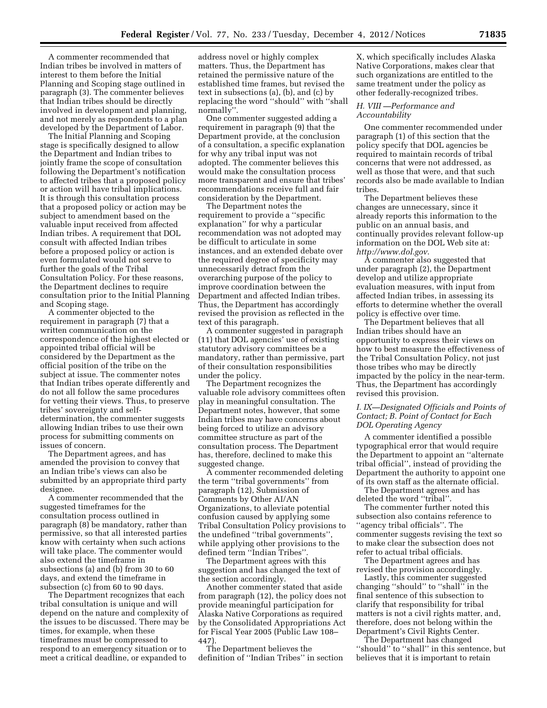A commenter recommended that Indian tribes be involved in matters of interest to them before the Initial Planning and Scoping stage outlined in paragraph (3). The commenter believes that Indian tribes should be directly involved in development and planning, and not merely as respondents to a plan developed by the Department of Labor.

The Initial Planning and Scoping stage is specifically designed to allow the Department and Indian tribes to jointly frame the scope of consultation following the Department's notification to affected tribes that a proposed policy or action will have tribal implications. It is through this consultation process that a proposed policy or action may be subject to amendment based on the valuable input received from affected Indian tribes. A requirement that DOL consult with affected Indian tribes before a proposed policy or action is even formulated would not serve to further the goals of the Tribal Consultation Policy. For these reasons, the Department declines to require consultation prior to the Initial Planning and Scoping stage.

A commenter objected to the requirement in paragraph (7) that a written communication on the correspondence of the highest elected or appointed tribal official will be considered by the Department as the official position of the tribe on the subject at issue. The commenter notes that Indian tribes operate differently and do not all follow the same procedures for vetting their views. Thus, to preserve tribes' sovereignty and selfdetermination, the commenter suggests allowing Indian tribes to use their own process for submitting comments on issues of concern.

The Department agrees, and has amended the provision to convey that an Indian tribe's views can also be submitted by an appropriate third party designee.

A commenter recommended that the suggested timeframes for the consultation process outlined in paragraph (8) be mandatory, rather than permissive, so that all interested parties know with certainty when such actions will take place. The commenter would also extend the timeframe in subsections (a) and (b) from 30 to 60 days, and extend the timeframe in subsection (c) from 60 to 90 days.

The Department recognizes that each tribal consultation is unique and will depend on the nature and complexity of the issues to be discussed. There may be times, for example, when these timeframes must be compressed to respond to an emergency situation or to meet a critical deadline, or expanded to

address novel or highly complex matters. Thus, the Department has retained the permissive nature of the established time frames, but revised the text in subsections (a), (b), and (c) by replacing the word ''should'' with ''shall normally''.

One commenter suggested adding a requirement in paragraph (9) that the Department provide, at the conclusion of a consultation, a specific explanation for why any tribal input was not adopted. The commenter believes this would make the consultation process more transparent and ensure that tribes' recommendations receive full and fair consideration by the Department.

The Department notes the requirement to provide a ''specific explanation'' for why a particular recommendation was not adopted may be difficult to articulate in some instances, and an extended debate over the required degree of specificity may unnecessarily detract from the overarching purpose of the policy to improve coordination between the Department and affected Indian tribes. Thus, the Department has accordingly revised the provision as reflected in the text of this paragraph.

A commenter suggested in paragraph (11) that DOL agencies' use of existing statutory advisory committees be a mandatory, rather than permissive, part of their consultation responsibilities under the policy.

The Department recognizes the valuable role advisory committees often play in meaningful consultation. The Department notes, however, that some Indian tribes may have concerns about being forced to utilize an advisory committee structure as part of the consultation process. The Department has, therefore, declined to make this suggested change.

A commenter recommended deleting the term ''tribal governments'' from paragraph (12), Submission of Comments by Other AI/AN Organizations, to alleviate potential confusion caused by applying some Tribal Consultation Policy provisions to the undefined ''tribal governments'', while applying other provisions to the defined term ''Indian Tribes''.

The Department agrees with this suggestion and has changed the text of the section accordingly.

Another commenter stated that aside from paragraph (12), the policy does not provide meaningful participation for Alaska Native Corporations as required by the Consolidated Appropriations Act for Fiscal Year 2005 (Public Law 108– 447).

The Department believes the definition of ''Indian Tribes'' in section X, which specifically includes Alaska Native Corporations, makes clear that such organizations are entitled to the same treatment under the policy as other federally-recognized tribes.

# *H. VIII —Performance and Accountability*

One commenter recommended under paragraph (1) of this section that the policy specify that DOL agencies be required to maintain records of tribal concerns that were not addressed, as well as those that were, and that such records also be made available to Indian tribes.

The Department believes these changes are unnecessary, since it already reports this information to the public on an annual basis, and continually provides relevant follow-up information on the DOL Web site at: *<http://www.dol.gov>*.

A commenter also suggested that under paragraph (2), the Department develop and utilize appropriate evaluation measures, with input from affected Indian tribes, in assessing its efforts to determine whether the overall policy is effective over time.

The Department believes that all Indian tribes should have an opportunity to express their views on how to best measure the effectiveness of the Tribal Consultation Policy, not just those tribes who may be directly impacted by the policy in the near-term. Thus, the Department has accordingly revised this provision.

*I. IX—Designated Officials and Points of Contact; B. Point of Contact for Each DOL Operating Agency* 

A commenter identified a possible typographical error that would require the Department to appoint an ''alternate tribal official'', instead of providing the Department the authority to appoint one of its own staff as the alternate official.

The Department agrees and has deleted the word ''tribal''.

The commenter further noted this subsection also contains reference to ''agency tribal officials''. The commenter suggests revising the text so to make clear the subsection does not refer to actual tribal officials.

The Department agrees and has revised the provision accordingly.

Lastly, this commenter suggested changing ''should'' to ''shall'' in the final sentence of this subsection to clarify that responsibility for tribal matters is not a civil rights matter, and, therefore, does not belong within the Department's Civil Rights Center.

The Department has changed ''should'' to ''shall'' in this sentence, but believes that it is important to retain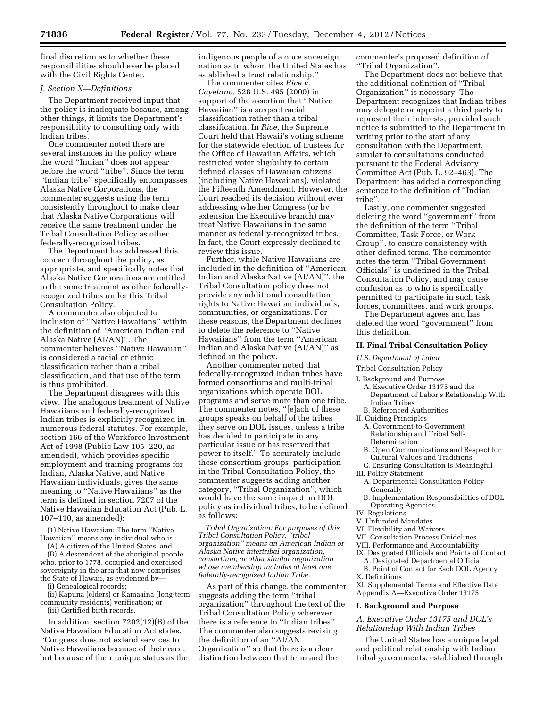final discretion as to whether these responsibilities should ever be placed with the Civil Rights Center.

## *J. Section X—Definitions*

The Department received input that the policy is inadequate because, among other things, it limits the Department's responsibility to consulting only with Indian tribes.

One commenter noted there are several instances in the policy where the word ''Indian'' does not appear before the word ''tribe''. Since the term ''Indian tribe'' specifically encompasses Alaska Native Corporations, the commenter suggests using the term consistently throughout to make clear that Alaska Native Corporations will receive the same treatment under the Tribal Consultation Policy as other federally-recognized tribes.

The Department has addressed this concern throughout the policy, as appropriate, and specifically notes that Alaska Native Corporations are entitled to the same treatment as other federallyrecognized tribes under this Tribal Consultation Policy.

A commenter also objected to inclusion of ''Native Hawaiians'' within the definition of ''American Indian and Alaska Native (AI/AN)''. The commenter believes ''Native Hawaiian'' is considered a racial or ethnic classification rather than a tribal classification, and that use of the term is thus prohibited.

The Department disagrees with this view. The analogous treatment of Native Hawaiians and federally-recognized Indian tribes is explicitly recognized in numerous federal statutes. For example, section 166 of the Workforce Investment Act of 1998 (Public Law 105–220, as amended), which provides specific employment and training programs for Indian, Alaska Native, and Native Hawaiian individuals, gives the same meaning to ''Native Hawaiians'' as the term is defined in section 7207 of the Native Hawaiian Education Act (Pub. L. 107–110, as amended):

(1) Native Hawaiian: The term ''Native Hawaiian'' means any individual who is

(A) A citizen of the United States; and (B) A descendent of the aboriginal people

who, prior to 1778, occupied and exercised sovereignty in the area that now comprises the State of Hawaii, as evidenced by—

(i) Genealogical records;

(ii) Kapuna (elders) or Kamaaina (long-term community residents) verification; or

(iii) Certified birth records.

In addition, section 7202(12)(B) of the Native Hawaiian Education Act states, ''Congress does not extend services to Native Hawaiians because of their race, but because of their unique status as the

indigenous people of a once sovereign nation as to whom the United States has established a trust relationship.''

The commenter cites *Rice v. Cayetano,* 528 U.S. 495 (2000) in support of the assertion that ''Native Hawaiian'' is a suspect racial classification rather than a tribal classification. In *Rice,* the Supreme Court held that Hawaii's voting scheme for the statewide election of trustees for the Office of Hawaiian Affairs, which restricted voter eligibility to certain defined classes of Hawaiian citizens (including Native Hawaiians), violated the Fifteenth Amendment. However, the Court reached its decision without ever addressing whether Congress (or by extension the Executive branch) may treat Native Hawaiians in the same manner as federally-recognized tribes. In fact, the Court expressly declined to review this issue.

Further, while Native Hawaiians are included in the definition of ''American Indian and Alaska Native (AI/AN)'', the Tribal Consultation policy does not provide any additional consultation rights to Native Hawaiian individuals, communities, or organizations. For these reasons, the Department declines to delete the reference to ''Native Hawaiians'' from the term ''American Indian and Alaska Native (AI/AN)'' as defined in the policy.

Another commenter noted that federally-recognized Indian tribes have formed consortiums and multi-tribal organizations which operate DOL programs and serve more than one tribe. The commenter notes, ''[e]ach of these groups speaks on behalf of the tribes they serve on DOL issues, unless a tribe has decided to participate in any particular issue or has reserved that power to itself.'' To accurately include these consortium groups' participation in the Tribal Consultation Policy, the commenter suggests adding another category, ''Tribal Organization'', which would have the same impact on DOL policy as individual tribes, to be defined as follows:

*Tribal Organization: For purposes of this Tribal Consultation Policy, ''tribal organization'' means an American Indian or Alaska Native intertribal organization, consortium, or other similar organization whose membership includes at least one federally-recognized Indian Tribe.* 

As part of this change, the commenter suggests adding the term ''tribal organization'' throughout the text of the Tribal Consultation Policy wherever there is a reference to ''Indian tribes''. The commenter also suggests revising the definition of an ''AI/AN Organization'' so that there is a clear distinction between that term and the

commenter's proposed definition of ''Tribal Organization''.

The Department does not believe that the additional definition of ''Tribal Organization'' is necessary. The Department recognizes that Indian tribes may delegate or appoint a third party to represent their interests, provided such notice is submitted to the Department in writing prior to the start of any consultation with the Department, similar to consultations conducted pursuant to the Federal Advisory Committee Act (Pub. L. 92–463). The Department has added a corresponding sentence to the definition of ''Indian tribe''.

Lastly, one commenter suggested deleting the word ''government'' from the definition of the term ''Tribal Committee, Task Force, or Work Group'', to ensure consistency with other defined terms. The commenter notes the term ''Tribal Government Officials'' is undefined in the Tribal Consultation Policy, and may cause confusion as to who is specifically permitted to participate in such task forces, committees, and work groups.

The Department agrees and has deleted the word ''government'' from this definition.

### **II. Final Tribal Consultation Policy**

*U.S. Department of Labor* 

#### Tribal Consultation Policy

I. Background and Purpose

- A. Executive Order 13175 and the Department of Labor's Relationship With Indian Tribes
- B. Referenced Authorities
- II. Guiding Principles
	- A. Government-to-Government Relationship and Tribal Self-Determination
- B. Open Communications and Respect for Cultural Values and Traditions
- C. Ensuring Consultation is Meaningful
- III. Policy Statement
- A. Departmental Consultation Policy Generally
- B. Implementation Responsibilities of DOL Operating Agencies
- IV. Regulations
- V. Unfunded Mandates
- VI. Flexibility and Waivers
- VII. Consultation Process Guidelines
- VIII. Performance and Accountability
- IX. Designated Officials and Points of Contact A. Designated Departmental Official
- B. Point of Contact for Each DOL Agency X. Definitions
- 

XI. Supplemental Terms and Effective Date Appendix A—Executive Order 13175

#### **I. Background and Purpose**

# *A. Executive Order 13175 and DOL's Relationship With Indian Tribes*

The United States has a unique legal and political relationship with Indian tribal governments, established through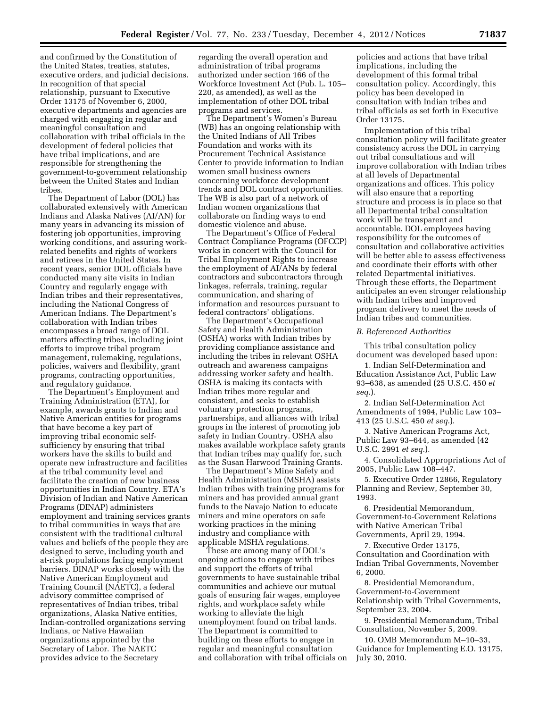and confirmed by the Constitution of the United States, treaties, statutes, executive orders, and judicial decisions. In recognition of that special relationship, pursuant to Executive Order 13175 of November 6, 2000, executive departments and agencies are charged with engaging in regular and meaningful consultation and collaboration with tribal officials in the development of federal policies that have tribal implications, and are responsible for strengthening the government-to-government relationship between the United States and Indian tribes.

The Department of Labor (DOL) has collaborated extensively with American Indians and Alaska Natives (AI/AN) for many years in advancing its mission of fostering job opportunities, improving working conditions, and assuring workrelated benefits and rights of workers and retirees in the United States. In recent years, senior DOL officials have conducted many site visits in Indian Country and regularly engage with Indian tribes and their representatives, including the National Congress of American Indians. The Department's collaboration with Indian tribes encompasses a broad range of DOL matters affecting tribes, including joint efforts to improve tribal program management, rulemaking, regulations, policies, waivers and flexibility, grant programs, contracting opportunities, and regulatory guidance.

The Department's Employment and Training Administration (ETA), for example, awards grants to Indian and Native American entities for programs that have become a key part of improving tribal economic selfsufficiency by ensuring that tribal workers have the skills to build and operate new infrastructure and facilities at the tribal community level and facilitate the creation of new business opportunities in Indian Country. ETA's Division of Indian and Native American Programs (DINAP) administers employment and training services grants to tribal communities in ways that are consistent with the traditional cultural values and beliefs of the people they are designed to serve, including youth and at-risk populations facing employment barriers. DINAP works closely with the Native American Employment and Training Council (NAETC), a federal advisory committee comprised of representatives of Indian tribes, tribal organizations, Alaska Native entities, Indian-controlled organizations serving Indians, or Native Hawaiian organizations appointed by the Secretary of Labor. The NAETC provides advice to the Secretary

regarding the overall operation and administration of tribal programs authorized under section 166 of the Workforce Investment Act (Pub. L. 105– 220, as amended), as well as the implementation of other DOL tribal programs and services.

The Department's Women's Bureau (WB) has an ongoing relationship with the United Indians of All Tribes Foundation and works with its Procurement Technical Assistance Center to provide information to Indian women small business owners concerning workforce development trends and DOL contract opportunities. The WB is also part of a network of Indian women organizations that collaborate on finding ways to end domestic violence and abuse.

The Department's Office of Federal Contract Compliance Programs (OFCCP) works in concert with the Council for Tribal Employment Rights to increase the employment of AI/ANs by federal contractors and subcontractors through linkages, referrals, training, regular communication, and sharing of information and resources pursuant to federal contractors' obligations.

The Department's Occupational Safety and Health Administration (OSHA) works with Indian tribes by providing compliance assistance and including the tribes in relevant OSHA outreach and awareness campaigns addressing worker safety and health. OSHA is making its contacts with Indian tribes more regular and consistent, and seeks to establish voluntary protection programs, partnerships, and alliances with tribal groups in the interest of promoting job safety in Indian Country. OSHA also makes available workplace safety grants that Indian tribes may qualify for, such as the Susan Harwood Training Grants.

The Department's Mine Safety and Health Administration (MSHA) assists Indian tribes with training programs for miners and has provided annual grant funds to the Navajo Nation to educate miners and mine operators on safe working practices in the mining industry and compliance with applicable MSHA regulations.

These are among many of DOL's ongoing actions to engage with tribes and support the efforts of tribal governments to have sustainable tribal communities and achieve our mutual goals of ensuring fair wages, employee rights, and workplace safety while working to alleviate the high unemployment found on tribal lands. The Department is committed to building on these efforts to engage in regular and meaningful consultation and collaboration with tribal officials on

policies and actions that have tribal implications, including the development of this formal tribal consultation policy. Accordingly, this policy has been developed in consultation with Indian tribes and tribal officials as set forth in Executive Order 13175.

Implementation of this tribal consultation policy will facilitate greater consistency across the DOL in carrying out tribal consultations and will improve collaboration with Indian tribes at all levels of Departmental organizations and offices. This policy will also ensure that a reporting structure and process is in place so that all Departmental tribal consultation work will be transparent and accountable. DOL employees having responsibility for the outcomes of consultation and collaborative activities will be better able to assess effectiveness and coordinate their efforts with other related Departmental initiatives. Through these efforts, the Department anticipates an even stronger relationship with Indian tribes and improved program delivery to meet the needs of Indian tribes and communities.

#### *B. Referenced Authorities*

This tribal consultation policy document was developed based upon:

1. Indian Self-Determination and Education Assistance Act, Public Law 93–638, as amended (25 U.S.C. 450 *et seq*.).

2. Indian Self-Determination Act Amendments of 1994, Public Law 103– 413 (25 U.S.C. 450 *et seq*.).

3. Native American Programs Act, Public Law 93–644, as amended (42 U.S.C. 2991 *et seq*.).

4. Consolidated Appropriations Act of 2005, Public Law 108–447.

5. Executive Order 12866, Regulatory Planning and Review, September 30, 1993.

6. Presidential Memorandum, Government-to-Government Relations with Native American Tribal Governments, April 29, 1994.

7. Executive Order 13175, Consultation and Coordination with Indian Tribal Governments, November 6, 2000.

8. Presidential Memorandum, Government-to-Government Relationship with Tribal Governments, September 23, 2004.

9. Presidential Memorandum, Tribal Consultation, November 5, 2009.

10. OMB Memorandum M–10–33, Guidance for Implementing E.O. 13175, July 30, 2010.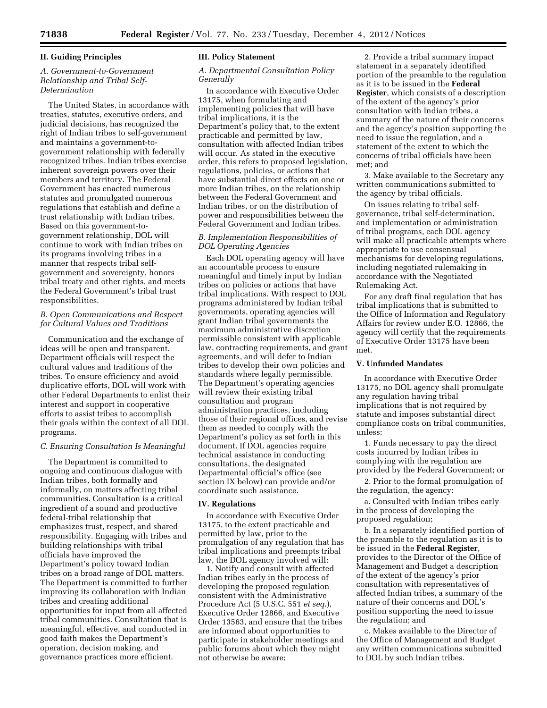### **II. Guiding Principles**

# *A. Government-to-Government Relationship and Tribal Self-Determination*

The United States, in accordance with treaties, statutes, executive orders, and judicial decisions, has recognized the right of Indian tribes to self-government and maintains a government-togovernment relationship with federally recognized tribes. Indian tribes exercise inherent sovereign powers over their members and territory. The Federal Government has enacted numerous statutes and promulgated numerous regulations that establish and define a trust relationship with Indian tribes. Based on this government-togovernment relationship, DOL will continue to work with Indian tribes on its programs involving tribes in a manner that respects tribal selfgovernment and sovereignty, honors tribal treaty and other rights, and meets the Federal Government's tribal trust responsibilities.

# *B. Open Communications and Respect for Cultural Values and Traditions*

Communication and the exchange of ideas will be open and transparent. Department officials will respect the cultural values and traditions of the tribes. To ensure efficiency and avoid duplicative efforts, DOL will work with other Federal Departments to enlist their interest and support in cooperative efforts to assist tribes to accomplish their goals within the context of all DOL programs.

# *C. Ensuring Consultation Is Meaningful*

The Department is committed to ongoing and continuous dialogue with Indian tribes, both formally and informally, on matters affecting tribal communities. Consultation is a critical ingredient of a sound and productive federal-tribal relationship that emphasizes trust, respect, and shared responsibility. Engaging with tribes and building relationships with tribal officials have improved the Department's policy toward Indian tribes on a broad range of DOL matters. The Department is committed to further improving its collaboration with Indian tribes and creating additional opportunities for input from all affected tribal communities. Consultation that is meaningful, effective, and conducted in good faith makes the Department's operation, decision making, and governance practices more efficient.

### **III. Policy Statement**

## *A. Departmental Consultation Policy Generally*

In accordance with Executive Order 13175, when formulating and implementing policies that will have tribal implications, it is the Department's policy that, to the extent practicable and permitted by law, consultation with affected Indian tribes will occur. As stated in the executive order, this refers to proposed legislation, regulations, policies, or actions that have substantial direct effects on one or more Indian tribes, on the relationship between the Federal Government and Indian tribes, or on the distribution of power and responsibilities between the Federal Government and Indian tribes.

# *B. Implementation Responsibilities of DOL Operating Agencies*

Each DOL operating agency will have an accountable process to ensure meaningful and timely input by Indian tribes on policies or actions that have tribal implications. With respect to DOL programs administered by Indian tribal governments, operating agencies will grant Indian tribal governments the maximum administrative discretion permissible consistent with applicable law, contracting requirements, and grant agreements, and will defer to Indian tribes to develop their own policies and standards where legally permissible. The Department's operating agencies will review their existing tribal consultation and program administration practices, including those of their regional offices, and revise them as needed to comply with the Department's policy as set forth in this document. If DOL agencies require technical assistance in conducting consultations, the designated Departmental official's office (see section IX below) can provide and/or coordinate such assistance.

### **IV. Regulations**

In accordance with Executive Order 13175, to the extent practicable and permitted by law, prior to the promulgation of any regulation that has tribal implications and preempts tribal law, the DOL agency involved will:

1. Notify and consult with affected Indian tribes early in the process of developing the proposed regulation consistent with the Administrative Procedure Act (5 U.S.C. 551 *et seq*.), Executive Order 12866, and Executive Order 13563, and ensure that the tribes are informed about opportunities to participate in stakeholder meetings and public forums about which they might not otherwise be aware;

2. Provide a tribal summary impact statement in a separately identified portion of the preamble to the regulation as it is to be issued in the **Federal Register**, which consists of a description of the extent of the agency's prior consultation with Indian tribes, a summary of the nature of their concerns and the agency's position supporting the need to issue the regulation, and a statement of the extent to which the concerns of tribal officials have been met; and

3. Make available to the Secretary any written communications submitted to the agency by tribal officials.

On issues relating to tribal selfgovernance, tribal self-determination, and implementation or administration of tribal programs, each DOL agency will make all practicable attempts where appropriate to use consensual mechanisms for developing regulations, including negotiated rulemaking in accordance with the Negotiated Rulemaking Act.

For any draft final regulation that has tribal implications that is submitted to the Office of Information and Regulatory Affairs for review under E.O. 12866, the agency will certify that the requirements of Executive Order 13175 have been met.

# **V. Unfunded Mandates**

In accordance with Executive Order 13175, no DOL agency shall promulgate any regulation having tribal implications that is not required by statute and imposes substantial direct compliance costs on tribal communities, unless:

1. Funds necessary to pay the direct costs incurred by Indian tribes in complying with the regulation are provided by the Federal Government; or

2. Prior to the formal promulgation of the regulation, the agency:

a. Consulted with Indian tribes early in the process of developing the proposed regulation;

b. In a separately identified portion of the preamble to the regulation as it is to be issued in the **Federal Register**, provides to the Director of the Office of Management and Budget a description of the extent of the agency's prior consultation with representatives of affected Indian tribes, a summary of the nature of their concerns and DOL's position supporting the need to issue the regulation; and

c. Makes available to the Director of the Office of Management and Budget any written communications submitted to DOL by such Indian tribes.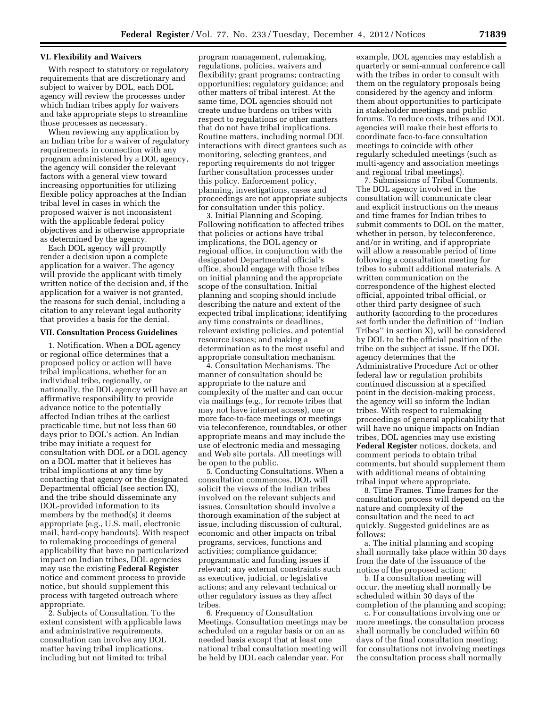### **VI. Flexibility and Waivers**

With respect to statutory or regulatory requirements that are discretionary and subject to waiver by DOL, each DOL agency will review the processes under which Indian tribes apply for waivers and take appropriate steps to streamline those processes as necessary.

When reviewing any application by an Indian tribe for a waiver of regulatory requirements in connection with any program administered by a DOL agency, the agency will consider the relevant factors with a general view toward increasing opportunities for utilizing flexible policy approaches at the Indian tribal level in cases in which the proposed waiver is not inconsistent with the applicable federal policy objectives and is otherwise appropriate as determined by the agency.

Each DOL agency will promptly render a decision upon a complete application for a waiver. The agency will provide the applicant with timely written notice of the decision and, if the application for a waiver is not granted, the reasons for such denial, including a citation to any relevant legal authority that provides a basis for the denial.

#### **VII. Consultation Process Guidelines**

1. Notification. When a DOL agency or regional office determines that a proposed policy or action will have tribal implications, whether for an individual tribe, regionally, or nationally, the DOL agency will have an affirmative responsibility to provide advance notice to the potentially affected Indian tribes at the earliest practicable time, but not less than 60 days prior to DOL's action. An Indian tribe may initiate a request for consultation with DOL or a DOL agency on a DOL matter that it believes has tribal implications at any time by contacting that agency or the designated Departmental official (see section IX), and the tribe should disseminate any DOL-provided information to its members by the method(s) it deems appropriate (e.g., U.S. mail, electronic mail, hard-copy handouts). With respect to rulemaking proceedings of general applicability that have no particularized impact on Indian tribes, DOL agencies may use the existing **Federal Register**  notice and comment process to provide notice, but should supplement this process with targeted outreach where appropriate.

2. Subjects of Consultation. To the extent consistent with applicable laws and administrative requirements, consultation can involve any DOL matter having tribal implications, including but not limited to: tribal

program management, rulemaking, regulations, policies, waivers and flexibility; grant programs; contracting opportunities; regulatory guidance; and other matters of tribal interest. At the same time, DOL agencies should not create undue burdens on tribes with respect to regulations or other matters that do not have tribal implications. Routine matters, including normal DOL interactions with direct grantees such as monitoring, selecting grantees, and reporting requirements do not trigger further consultation processes under this policy. Enforcement policy, planning, investigations, cases and proceedings are not appropriate subjects for consultation under this policy.

3. Initial Planning and Scoping. Following notification to affected tribes that policies or actions have tribal implications, the DOL agency or regional office, in conjunction with the designated Departmental official's office, should engage with those tribes on initial planning and the appropriate scope of the consultation. Initial planning and scoping should include describing the nature and extent of the expected tribal implications; identifying any time constraints or deadlines, relevant existing policies, and potential resource issues; and making a determination as to the most useful and appropriate consultation mechanism.

4. Consultation Mechanisms. The manner of consultation should be appropriate to the nature and complexity of the matter and can occur via mailings (e.g., for remote tribes that may not have internet access), one or more face-to-face meetings or meetings via teleconference, roundtables, or other appropriate means and may include the use of electronic media and messaging and Web site portals. All meetings will be open to the public.

5. Conducting Consultations. When a consultation commences, DOL will solicit the views of the Indian tribes involved on the relevant subjects and issues. Consultation should involve a thorough examination of the subject at issue, including discussion of cultural, economic and other impacts on tribal programs, services, functions and activities; compliance guidance; programmatic and funding issues if relevant; any external constraints such as executive, judicial, or legislative actions; and any relevant technical or other regulatory issues as they affect tribes.

6. Frequency of Consultation Meetings. Consultation meetings may be scheduled on a regular basis or on an as needed basis except that at least one national tribal consultation meeting will be held by DOL each calendar year. For

example, DOL agencies may establish a quarterly or semi-annual conference call with the tribes in order to consult with them on the regulatory proposals being considered by the agency and inform them about opportunities to participate in stakeholder meetings and public forums. To reduce costs, tribes and DOL agencies will make their best efforts to coordinate face-to-face consultation meetings to coincide with other regularly scheduled meetings (such as multi-agency and association meetings and regional tribal meetings).

7. Submissions of Tribal Comments. The DOL agency involved in the consultation will communicate clear and explicit instructions on the means and time frames for Indian tribes to submit comments to DOL on the matter, whether in person, by teleconference, and/or in writing, and if appropriate will allow a reasonable period of time following a consultation meeting for tribes to submit additional materials. A written communication on the correspondence of the highest elected official, appointed tribal official, or other third party designee of such authority (according to the procedures set forth under the definition of ''Indian Tribes'' in section X), will be considered by DOL to be the official position of the tribe on the subject at issue. If the DOL agency determines that the Administrative Procedure Act or other federal law or regulation prohibits continued discussion at a specified point in the decision-making process, the agency will so inform the Indian tribes. With respect to rulemaking proceedings of general applicability that will have no unique impacts on Indian tribes, DOL agencies may use existing **Federal Register** notices, dockets, and comment periods to obtain tribal comments, but should supplement them with additional means of obtaining tribal input where appropriate.

8. Time Frames. Time frames for the consultation process will depend on the nature and complexity of the consultation and the need to act quickly. Suggested guidelines are as follows:

a. The initial planning and scoping shall normally take place within 30 days from the date of the issuance of the notice of the proposed action;

b. If a consultation meeting will occur, the meeting shall normally be scheduled within 30 days of the completion of the planning and scoping;

c. For consultations involving one or more meetings, the consultation process shall normally be concluded within 60 days of the final consultation meeting; for consultations not involving meetings the consultation process shall normally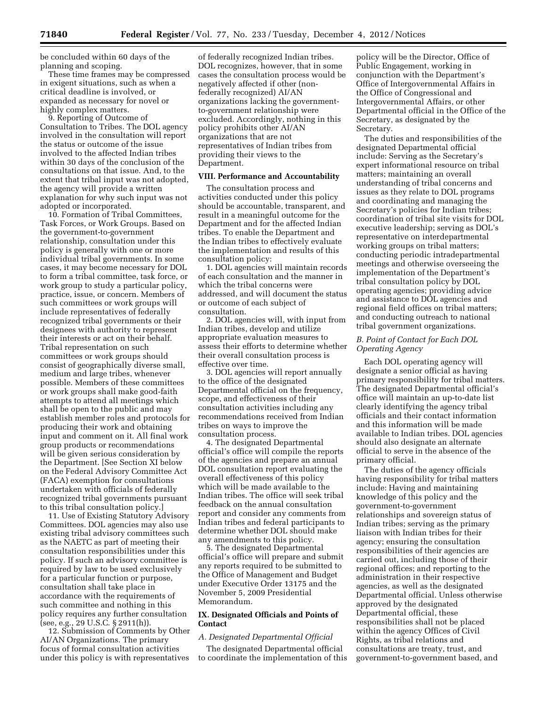be concluded within 60 days of the planning and scoping.

These time frames may be compressed in exigent situations, such as when a critical deadline is involved, or expanded as necessary for novel or highly complex matters.

9. Reporting of Outcome of Consultation to Tribes. The DOL agency involved in the consultation will report the status or outcome of the issue involved to the affected Indian tribes within 30 days of the conclusion of the consultations on that issue. And, to the extent that tribal input was not adopted, the agency will provide a written explanation for why such input was not adopted or incorporated.

10. Formation of Tribal Committees, Task Forces, or Work Groups. Based on the government-to-government relationship, consultation under this policy is generally with one or more individual tribal governments. In some cases, it may become necessary for DOL to form a tribal committee, task force, or work group to study a particular policy, practice, issue, or concern. Members of such committees or work groups will include representatives of federally recognized tribal governments or their designees with authority to represent their interests or act on their behalf. Tribal representation on such committees or work groups should consist of geographically diverse small, medium and large tribes, whenever possible. Members of these committees or work groups shall make good-faith attempts to attend all meetings which shall be open to the public and may establish member roles and protocols for producing their work and obtaining input and comment on it. All final work group products or recommendations will be given serious consideration by the Department. [See Section XI below on the Federal Advisory Committee Act (FACA) exemption for consultations undertaken with officials of federally recognized tribal governments pursuant to this tribal consultation policy.]

11. Use of Existing Statutory Advisory Committees. DOL agencies may also use existing tribal advisory committees such as the NAETC as part of meeting their consultation responsibilities under this policy. If such an advisory committee is required by law to be used exclusively for a particular function or purpose, consultation shall take place in accordance with the requirements of such committee and nothing in this policy requires any further consultation (see, e.g., 29 U.S.C. § 2911(h)).

12. Submission of Comments by Other AI/AN Organizations. The primary focus of formal consultation activities under this policy is with representatives

of federally recognized Indian tribes. DOL recognizes, however, that in some cases the consultation process would be negatively affected if other (nonfederally recognized) AI/AN organizations lacking the governmentto-government relationship were excluded. Accordingly, nothing in this policy prohibits other AI/AN organizations that are not representatives of Indian tribes from providing their views to the Department.

#### **VIII. Performance and Accountability**

The consultation process and activities conducted under this policy should be accountable, transparent, and result in a meaningful outcome for the Department and for the affected Indian tribes. To enable the Department and the Indian tribes to effectively evaluate the implementation and results of this consultation policy:

1. DOL agencies will maintain records of each consultation and the manner in which the tribal concerns were addressed, and will document the status or outcome of each subject of consultation.

2. DOL agencies will, with input from Indian tribes, develop and utilize appropriate evaluation measures to assess their efforts to determine whether their overall consultation process is effective over time.

3. DOL agencies will report annually to the office of the designated Departmental official on the frequency, scope, and effectiveness of their consultation activities including any recommendations received from Indian tribes on ways to improve the consultation process.

4. The designated Departmental official's office will compile the reports of the agencies and prepare an annual DOL consultation report evaluating the overall effectiveness of this policy which will be made available to the Indian tribes. The office will seek tribal feedback on the annual consultation report and consider any comments from Indian tribes and federal participants to determine whether DOL should make any amendments to this policy.

5. The designated Departmental official's office will prepare and submit any reports required to be submitted to the Office of Management and Budget under Executive Order 13175 and the November 5, 2009 Presidential Memorandum.

# **IX. Designated Officials and Points of Contact**

# *A. Designated Departmental Official*

The designated Departmental official to coordinate the implementation of this

policy will be the Director, Office of Public Engagement, working in conjunction with the Department's Office of Intergovernmental Affairs in the Office of Congressional and Intergovernmental Affairs, or other Departmental official in the Office of the Secretary, as designated by the Secretary.

The duties and responsibilities of the designated Departmental official include: Serving as the Secretary's expert informational resource on tribal matters; maintaining an overall understanding of tribal concerns and issues as they relate to DOL programs and coordinating and managing the Secretary's policies for Indian tribes; coordination of tribal site visits for DOL executive leadership; serving as DOL's representative on interdepartmental working groups on tribal matters; conducting periodic intradepartmental meetings and otherwise overseeing the implementation of the Department's tribal consultation policy by DOL operating agencies; providing advice and assistance to DOL agencies and regional field offices on tribal matters; and conducting outreach to national tribal government organizations.

# *B. Point of Contact for Each DOL Operating Agency*

Each DOL operating agency will designate a senior official as having primary responsibility for tribal matters. The designated Departmental official's office will maintain an up-to-date list clearly identifying the agency tribal officials and their contact information and this information will be made available to Indian tribes. DOL agencies should also designate an alternate official to serve in the absence of the primary official.

The duties of the agency officials having responsibility for tribal matters include: Having and maintaining knowledge of this policy and the government-to-government relationships and sovereign status of Indian tribes; serving as the primary liaison with Indian tribes for their agency; ensuring the consultation responsibilities of their agencies are carried out, including those of their regional offices; and reporting to the administration in their respective agencies, as well as the designated Departmental official. Unless otherwise approved by the designated Departmental official, these responsibilities shall not be placed within the agency Offices of Civil Rights, as tribal relations and consultations are treaty, trust, and government-to-government based, and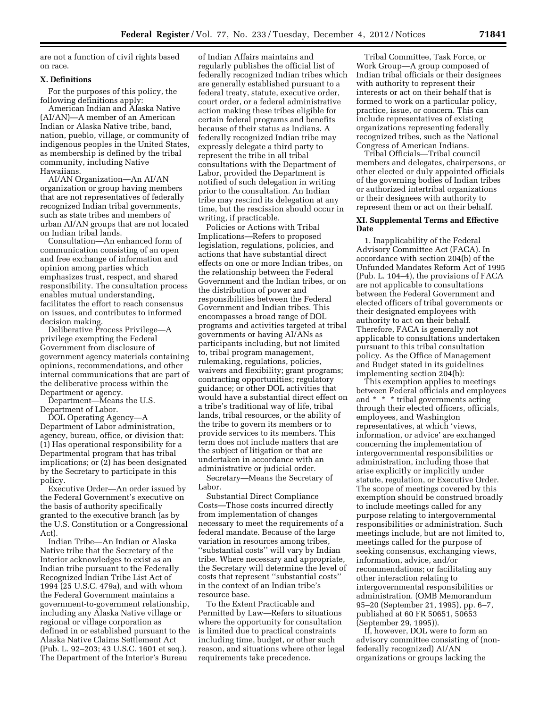are not a function of civil rights based on race.

# **X. Definitions**

For the purposes of this policy, the following definitions apply:

American Indian and Alaska Native (AI/AN)—A member of an American Indian or Alaska Native tribe, band, nation, pueblo, village, or community of indigenous peoples in the United States, as membership is defined by the tribal community, including Native Hawaiians.

AI/AN Organization—An AI/AN organization or group having members that are not representatives of federally recognized Indian tribal governments, such as state tribes and members of urban AI/AN groups that are not located on Indian tribal lands.

Consultation—An enhanced form of communication consisting of an open and free exchange of information and opinion among parties which emphasizes trust, respect, and shared responsibility. The consultation process enables mutual understanding, facilitates the effort to reach consensus on issues, and contributes to informed decision making.

Deliberative Process Privilege—A privilege exempting the Federal Government from disclosure of government agency materials containing opinions, recommendations, and other internal communications that are part of the deliberative process within the Department or agency.

Department—Means the U.S. Department of Labor.

DOL Operating Agency—A Department of Labor administration, agency, bureau, office, or division that: (1) Has operational responsibility for a Departmental program that has tribal implications; or (2) has been designated by the Secretary to participate in this policy.

Executive Order—An order issued by the Federal Government's executive on the basis of authority specifically granted to the executive branch (as by the U.S. Constitution or a Congressional Act).

Indian Tribe—An Indian or Alaska Native tribe that the Secretary of the Interior acknowledges to exist as an Indian tribe pursuant to the Federally Recognized Indian Tribe List Act of 1994 (25 U.S.C. 479a), and with whom the Federal Government maintains a government-to-government relationship, including any Alaska Native village or regional or village corporation as defined in or established pursuant to the Alaska Native Claims Settlement Act (Pub. L. 92–203; 43 U.S.C. 1601 et seq.). The Department of the Interior's Bureau

of Indian Affairs maintains and regularly publishes the official list of federally recognized Indian tribes which are generally established pursuant to a federal treaty, statute, executive order, court order, or a federal administrative action making these tribes eligible for certain federal programs and benefits because of their status as Indians. A federally recognized Indian tribe may expressly delegate a third party to represent the tribe in all tribal consultations with the Department of Labor, provided the Department is notified of such delegation in writing prior to the consultation. An Indian tribe may rescind its delegation at any time, but the rescission should occur in writing, if practicable.

Policies or Actions with Tribal Implications—Refers to proposed legislation, regulations, policies, and actions that have substantial direct effects on one or more Indian tribes, on the relationship between the Federal Government and the Indian tribes, or on the distribution of power and responsibilities between the Federal Government and Indian tribes. This encompasses a broad range of DOL programs and activities targeted at tribal governments or having AI/ANs as participants including, but not limited to, tribal program management, rulemaking, regulations, policies, waivers and flexibility; grant programs; contracting opportunities; regulatory guidance; or other DOL activities that would have a substantial direct effect on a tribe's traditional way of life, tribal lands, tribal resources, or the ability of the tribe to govern its members or to provide services to its members. This term does not include matters that are the subject of litigation or that are undertaken in accordance with an administrative or judicial order.

Secretary—Means the Secretary of Labor.

Substantial Direct Compliance Costs—Those costs incurred directly from implementation of changes necessary to meet the requirements of a federal mandate. Because of the large variation in resources among tribes, ''substantial costs'' will vary by Indian tribe. Where necessary and appropriate, the Secretary will determine the level of costs that represent ''substantial costs'' in the context of an Indian tribe's resource base.

To the Extent Practicable and Permitted by Law—Refers to situations where the opportunity for consultation is limited due to practical constraints including time, budget, or other such reason, and situations where other legal requirements take precedence.

Tribal Committee, Task Force, or Work Group—A group composed of Indian tribal officials or their designees with authority to represent their interests or act on their behalf that is formed to work on a particular policy, practice, issue, or concern. This can include representatives of existing organizations representing federally recognized tribes, such as the National Congress of American Indians.

Tribal Officials—Tribal council members and delegates, chairpersons, or other elected or duly appointed officials of the governing bodies of Indian tribes or authorized intertribal organizations or their designees with authority to represent them or act on their behalf.

# **XI. Supplemental Terms and Effective Date**

1. Inapplicability of the Federal Advisory Committee Act (FACA). In accordance with section 204(b) of the Unfunded Mandates Reform Act of 1995 (Pub. L. 104–4), the provisions of FACA are not applicable to consultations between the Federal Government and elected officers of tribal governments or their designated employees with authority to act on their behalf. Therefore, FACA is generally not applicable to consultations undertaken pursuant to this tribal consultation policy. As the Office of Management and Budget stated in its guidelines implementing section 204(b):

This exemption applies to meetings between Federal officials and employees and \* \* \* tribal governments acting through their elected officers, officials, employees, and Washington representatives, at which 'views, information, or advice' are exchanged concerning the implementation of intergovernmental responsibilities or administration, including those that arise explicitly or implicitly under statute, regulation, or Executive Order. The scope of meetings covered by this exemption should be construed broadly to include meetings called for any purpose relating to intergovernmental responsibilities or administration. Such meetings include, but are not limited to, meetings called for the purpose of seeking consensus, exchanging views, information, advice, and/or recommendations; or facilitating any other interaction relating to intergovernmental responsibilities or administration. (OMB Memorandum 95–20 (September 21, 1995), pp. 6–7, published at 60 FR 50651, 50653 (September 29, 1995)).

If, however, DOL were to form an advisory committee consisting of (nonfederally recognized) AI/AN organizations or groups lacking the